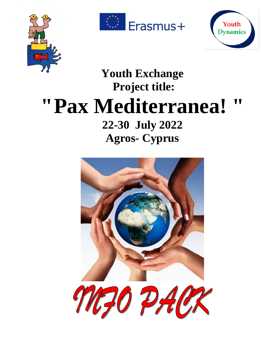





# **Youth Exchange Project title: "Pax Mediterranea! " 22-30 July 2022 Agros- Cyprus**

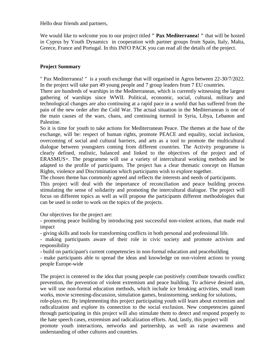Hello dear friends and partners,

We would like to welcome you to our project titled **" Pax Mediterranea! "** that will be hosted in Cyprus by Youth Dynamics in cooperation with partner groups from Spain, Italy, Malta, Greece, France and Portugal. In this INFO PACK you can read all the details of the project.

### **Project Summary**

" Pax Mediterranea! " is a youth exchange that will organised in Agros between 22-30/7/2022. In the project will take part 49 young people and 7 group leaders from 7 EU countries.

There are hundreds of warships in the Mediterranean, which is currently witnessing the largest gathering of warships since WWII. Political, economic, social, cultural, military and technological changes are also continuing at a rapid pace in a world that has suffered from the pain of the new order after the Cold War. The actual situation in the Mediterranean is one of the main causes of the wars, chaos, and continuing turmoil in Syria, Libya, Lebanon and Palestine.

So it is time for youth to take actions for Mediterranean Peace. The themes at the base of the exchange, will be: respect of human rights, promote PEACE and equality, social inclusion, overcoming of social and cultural barriers, and arts as a tool to promote the multicultural dialogue between youngsters coming from different countries. The Activity programme is clearly defined, realistic, balanced and linked to the objectives of the project and of ERASMUS+. The programme will use a variety of intercultural working methods and be adapted to the profile of participants. The project has a clear thematic concept on Human Rights, violence and Discrimination which participants wish to explore together.

The chosen theme has commonly agreed and reflects the interests and needs of participants.

This project will deal with the importance of reconciliation and peace building process stimulating the sense of solidarity and promoting the intercultural dialogue. The project will focus on different topics as well as will propose the participants different methodologies that can be used in order to work on the topics of the projects.

Our objectives for the project are:

- promoting peace building by introducing past successful non-violent actions, that made real impact

- giving skills and tools for transforming conflicts in both personal and professional life.

- making participants aware of their role in civic society and promote activism and responsibility

- build on participant's current competencies in non-formal education and peacebuilding

- make participants able to spread the ideas and knowledge on non-violent actions to young people Europe-wide

The project is centered to the idea that young people can positively contribute towards conflict prevention, the prevention of violent extremism and peace building. To achieve desired aim, we will use non-formal education methods, which include ice breaking activities, small team works, movie screening-discussion, simulation games, brainstorming, seeking for solutions, role-plays etc. By implementing this project participating youth will learn about extremism and

radicalization and explore its connection to the social exclusion. New competencies gained through participating in this project will also stimulate them to detect and respond properly to the hate speech cases, extremism and radicalization efforts. And, lastly, this project will promote youth interactions, networks and partnership, as well as raise awareness and understanding of other cultures and countries.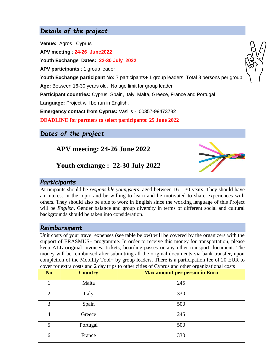# *Details of the project*

**Venue:** Agros , Cyprus **APV meeting** : **24-26 June2022 Youth Exchange Dates: 22-30 July 2022 APV participants** : 1 group leader

Youth Exchange participant No: 7 participants+ 1 group leaders. Total 8 persons per group

**Age:** Between 16-30 years old. No age limit for group leader

**Participant countries:** Cyprus, Spain, Italy, Malta, Greece, France and Portugal

**Language:** Project will be run in English.

**Emergency contact from Cyprus:** Vasilis - 00357-99473782

**DEADLINE for partners to select participants: 25 June 2022**

*Dates of the project*

**APV meeting: 24-26 June 2022**



**Youth exchange : 22-30 July 2022**

## *Participants*

Participants should be *responsible youngsters*, aged between 16 – 30 years. They should have an interest in the topic and be willing to learn and be motivated to share experiences with others. They should also be able to work in English since the working language of this Project will be *English*. Gender balance and group diversity in terms of different social and cultural backgrounds should be taken into consideration.

## *Reimbursment*

Unit costs of your travel expenses (see table below) will be covered by the organizers with the support of ERASMUS+ programme. In order to receive this money for transportation, please keep ALL original invoices, tickets, boarding-passes or any other transport document. The money will be reimbursed after submitting all the original documents via bank transfer, upon completion of the Mobility Tool+ by group leaders. There is a participation fee of 20 EUR to cover for extra costs and 2 day trips to other cities of Cyprus and other organizational costs

| N <sub>o</sub> | <b>Country</b> | <b>Max amount per person in Euro</b> |
|----------------|----------------|--------------------------------------|
|                | Malta          | 245                                  |
| $\overline{2}$ | Italy          | 330                                  |
| 3              | Spain          | 500                                  |
| 4              | Greece         | 245                                  |
| 5              | Portugal       | 500                                  |
| 6              | France         | 330                                  |

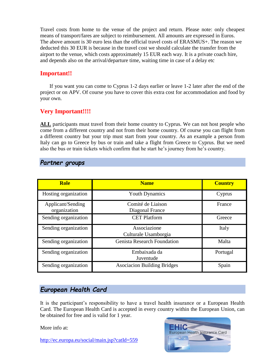Travel costs from home to the venue of the project and return. Please note: only cheapest means of transport/fares are subject to reimbursement. All amounts are expressed in Euros. The above amount is 30 euro less than the official travel costs of ERASMUS+. The reason we deducted this 30 EUR is because in the travel cost we should calculate the transfer from the airport to the venue, which costs approximately 15 EUR each way. It is a private coach hire, and depends also on the arrival/departure time, waiting time in case of a delay etc

# **Important!!**

 If you want you can come to Cyprus 1-2 days earlier or leave 1-2 later after the end of the project or on APV. Of course you have to cover this extra cost for accommodation and food by your own.

# **Very Important!!!!**

**ALL** participants must travel from their home country to Cyprus. We can not host people who come from a different country and not from their home country. Of course you can flight from a different country but your trip must start from your country. As an example a person from Italy can go to Greece by bus or train and take a flight from Greece to Cyprus. But we need also the bus or train tickets which confirm that he start he's journey from he's country.

| <b>Role</b>                       | <b>Name</b>                          | <b>Country</b> |
|-----------------------------------|--------------------------------------|----------------|
| Hosting organization              | <b>Youth Dynamics</b>                | Cyprus         |
| Applicant/Sending<br>organization | Comité de Liaison<br>Diagonal France | France         |
| Sending organization              | <b>CET Platform</b>                  | Greece         |
| Sending organization              | Associazione<br>Culturale Usamborgia | Italy          |
| Sending organization              | <b>Genista Research Foundation</b>   | Malta          |
| Sending organization              | Embaixada da<br>Juventude            | Portugal       |
| Sending organization              | <b>Asociacion Building Bridges</b>   | Spain          |

## *Partner groups*

# *European Health Card*

It is the participant's responsibility to have a travel health insurance or a European Health Card. The European Health Card is accepted in every country within the European Union, can be obtained for free and is valid for 1 year.

More info at:

<http://ec.europa.eu/social/main.jsp?catId=559>

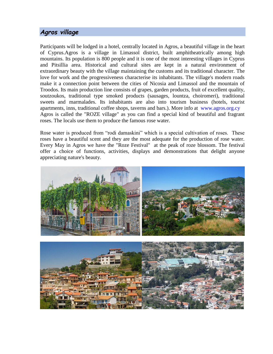# *Agros village*

Participants will be lodged in a hotel, centrally located in Agros, a beautiful village in the heart of Cyprus.Agros is a village in Limassol district, built amphitheatrically among high mountains. Its population is 800 people and it is one of the most interesting villages in Cyprus and Pitsillia area. Historical and cultural sites are kept in a natural environment of extraordinary beauty with the village maintaining the customs and its traditional character. The love for work and the progressiveness characterise its inhabitants. The village's modern roads make it a connection point between the cities of Nicosia and Limassol and the mountain of Troodos. Its main production line consists of grapes, garden products, fruit of excellent quality, soutzoukos, traditional type smoked products (sausages, lountza, choiromeri), traditional sweets and marmalades. Its inhabitants are also into tourism business (hotels, tourist apartments, inns, traditional coffee shops, taverns and bars.). More info at [www.agros.org.cy](http://www.agros.org.cy/) Agros is called the "ROZE village" as you can find a special kind of beautiful and fragrant roses. The locals use them to produce the famous rose water.

Rose water is produced from "rodi damaskini" which is a special cultivation of roses. These roses have a beautiful scent and they are the most adequate for the production of rose water. Every May in Agros we have the "Roze Festival" at the peak of roze blossom. The festival offer a choice of functions, activities, displays and demonstrations that delight anyone appreciating nature's beauty.



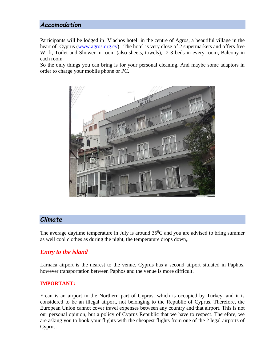# *Accomodation*

Participants will be lodged in Vlachos hotel in the centre of Agros, a beautiful village in the heart of Cyprus [\(www.agros.org.cy\)](http://www.agros.org.cy/). The hotel is very close of 2 supermarkets and offers free Wi-fi, Toilet and Shower in room (also sheets, towels), 2-3 beds in every room, Balcony in each room

So the only things you can bring is for your personal cleaning. And maybe some adaptors in order to charge your mobile phone or PC.



## *Climate*

The average daytime temperature in July is around  $35^{\circ}$ C and you are advised to bring summer as well cool clothes as during the night, the temperature drops down,.

#### *Entry to the island*

Larnaca airport is the nearest to the venue. Cyprus has a second airport situated in Paphos, however transportation between Paphos and the venue is more difficult.

#### **IMPORTANT:**

Ercan is an airport in the Northern part of Cyprus, which is occupied by Turkey, and it is considered to be an illegal airport, not belonging to the Republic of Cyprus. Therefore, the European Union cannot cover travel expenses between any country and that airport. This is not our personal opinion, but a policy of Cyprus Republic that we have to respect. Therefore, we are asking you to book your flights with the cheapest flights from one of the 2 legal airports of Cyprus.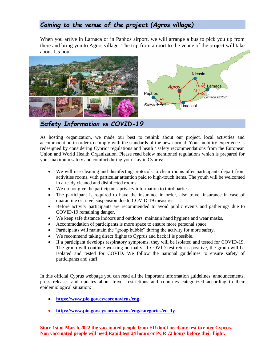# *Coming to the venue of the project (Agros village)*

When you arrive in Larnaca or in Paphos airport, we will arrange a bus to pick you up from there and bring you to Agros village. The trip from airport to the venue of the project will take about 1.5 hour.



*Safety Information vs COVID-19*

As hosting organization, we made our best to rethink about our project, local activities and accommodation in order to comply with the standards of the new normal. Your mobility experience is redesigned by considering Cypriot regulations and heath / safety recommendations from the European Union and World Health Organization. Please read below mentioned regulations which is prepared for your maximum safety and comfort during your stay in Cyprus:

- We will use cleaning and disinfecting protocols to clean rooms after participants depart from activities rooms, with particular attention paid to high-touch items. The youth will be welcomed in already cleaned and disinfected rooms.
- We do not give the participants' privacy information to third parties.
- The participant is required to have the insurance in order, also travel insurance in case of quarantine or travel suspension due to COVID-19 measures.
- Before activity participants are recommended to avoid public events and gatherings due to COVID-19 remaining danger.
- We keep safe distance indoors and outdoors, maintain hand hygiene and wear masks.
- Accommodation of participants is more space to ensure more personal space.
- Participants will maintain the "group bubble" during the activity for more safety.
- We recommend taking direct flights to Cyprus and back if is possible.
- If a participant develops respiratory symptoms, they will be isolated and tested for COVID-19. The group will continue working normally. If COVID test returns positive, the group will be isolated and tested for COVID. We follow the national guidelines to ensure safety of participants and staff.

In this official Cyprus webpage you can read all the important information guidelines, announcements, press releases and updates about travel restrictions and countries categorized according to their epidemiological situation:

- **<https://www.pio.gov.cy/coronavirus/eng>**
- **<https://www.pio.gov.cy/coronavirus/eng/categories/en-fly>**

**Since 1st of March 2022 the vaccinated people from EU don't need any test to enter Cyprus. Non vaccinated people will need Rapid test 24 hours or PCR 72 hours before their flight.**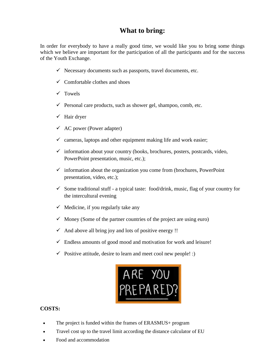# **What to bring:**

In order for everybody to have a really good time, we would like you to bring some things which we believe are important for the participation of all the participants and for the success of the Youth Exchange.

- $\checkmark$  Necessary documents such as passports, travel documents, etc.
- $\checkmark$  Comfortable clothes and shoes
- $\checkmark$  Towels
- $\checkmark$  Personal care products, such as shower gel, shampoo, comb, etc.
- $\checkmark$  Hair dryer
- $\checkmark$  AC power (Power adapter)
- $\checkmark$  cameras, laptops and other equipment making life and work easier;
- $\checkmark$  information about your country (books, brochures, posters, postcards, video, PowerPoint presentation, music, etc.);
- $\checkmark$  information about the organization you come from (brochures, PowerPoint) presentation, video, etc.);
- $\checkmark$  Some traditional stuff a typical taste: food/drink, music, flag of your country for the intercultural evening
- $\checkmark$  Medicine, if you regularly take any
- $\checkmark$  Money (Some of the partner countries of the project are using euro)
- $\checkmark$  And above all bring joy and lots of positive energy !!
- $\checkmark$  Endless amounts of good mood and motivation for work and leisure!
- $\checkmark$  Positive attitude, desire to learn and meet cool new people! :)



#### **COSTS:**

- The project is funded within the frames of ERASMUS+ program
- Travel cost up to the travel limit according the distance calculator of EU
- Food and accommodation